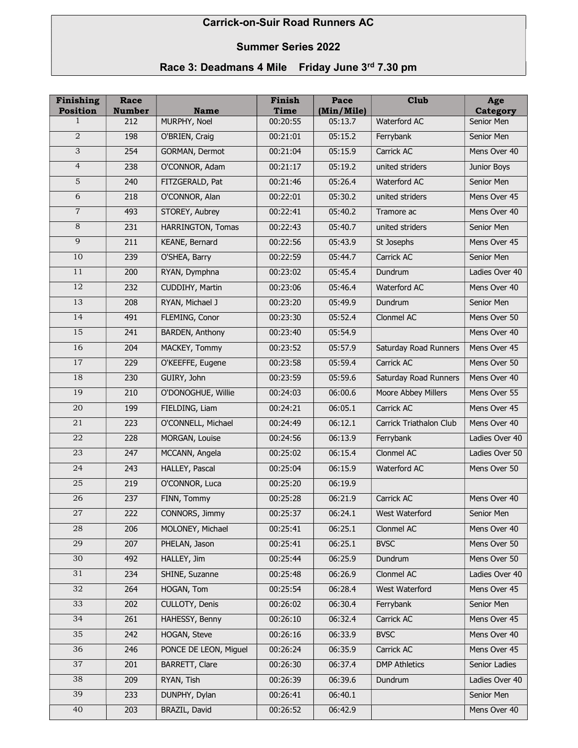## Carrick-on-Suir Road Runners AC

## Summer Series 2022

## Race 3: Deadmans 4 Mile Friday June 3rd 7.30 pm

| Finishing<br><b>Position</b> | Race<br><b>Number</b> | <b>Name</b>              | Finish<br>Time | Pace<br>(Min/Mile) | Club                    | Age<br><b>Category</b> |
|------------------------------|-----------------------|--------------------------|----------------|--------------------|-------------------------|------------------------|
| 1                            | 212                   | MURPHY, Noel             | 00:20:55       | 05:13.7            | Waterford AC            | Senior Men             |
| $\overline{a}$               | 198                   | O'BRIEN, Craig           | 00:21:01       | 05:15.2            | Ferrybank               | Senior Men             |
| $\overline{3}$               | 254                   | GORMAN, Dermot           | 00:21:04       | 05:15.9            | Carrick AC              | Mens Over 40           |
| $\overline{4}$               | 238                   | O'CONNOR, Adam           | 00:21:17       | 05:19.2            | united striders         | Junior Boys            |
| $\overline{5}$               | 240                   | FITZGERALD, Pat          | 00:21:46       | 05:26.4            | Waterford AC            | Senior Men             |
| $\overline{6}$               | 218                   | O'CONNOR, Alan           | 00:22:01       | 05:30.2            | united striders         | Mens Over 45           |
| $\overline{7}$               | 493                   | STOREY, Aubrey           | 00:22:41       | 05:40.2            | Tramore ac              | Mens Over 40           |
| 8                            | 231                   | <b>HARRINGTON, Tomas</b> | 00:22:43       | 05:40.7            | united striders         | Senior Men             |
| 9                            | 211                   | KEANE, Bernard           | 00:22:56       | 05:43.9            | St Josephs              | Mens Over 45           |
| 10                           | 239                   | O'SHEA, Barry            | 00:22:59       | 05:44.7            | Carrick AC              | Senior Men             |
| 11                           | 200                   | RYAN, Dymphna            | 00:23:02       | 05:45.4            | Dundrum                 | Ladies Over 40         |
| 12                           | 232                   | CUDDIHY, Martin          | 00:23:06       | 05:46.4            | Waterford AC            | Mens Over 40           |
| 13                           | 208                   | RYAN, Michael J          | 00:23:20       | 05:49.9            | Dundrum                 | Senior Men             |
| 14                           | 491                   | FLEMING, Conor           | 00:23:30       | 05:52.4            | Clonmel AC              | Mens Over 50           |
| 15                           | 241                   | <b>BARDEN, Anthony</b>   | 00:23:40       | 05:54.9            |                         | Mens Over 40           |
| 16                           | 204                   | MACKEY, Tommy            | 00:23:52       | 05:57.9            | Saturday Road Runners   | Mens Over 45           |
| 17                           | 229                   | O'KEEFFE, Eugene         | 00:23:58       | 05:59.4            | Carrick AC              | Mens Over 50           |
| 18                           | 230                   | GUIRY, John              | 00:23:59       | 05:59.6            | Saturday Road Runners   | Mens Over 40           |
| 19                           | 210                   | O'DONOGHUE, Willie       | 00:24:03       | 06:00.6            | Moore Abbey Millers     | Mens Over 55           |
| 20                           | 199                   | FIELDING, Liam           | 00:24:21       | 06:05.1            | Carrick AC              | Mens Over 45           |
| 21                           | 223                   | O'CONNELL, Michael       | 00:24:49       | 06:12.1            | Carrick Triathalon Club | Mens Over 40           |
| 22                           | 228                   | MORGAN, Louise           | 00:24:56       | 06:13.9            | Ferrybank               | Ladies Over 40         |
| 23                           | 247                   | MCCANN, Angela           | 00:25:02       | 06:15.4            | Clonmel AC              | Ladies Over 50         |
| 24                           | 243                   | HALLEY, Pascal           | 00:25:04       | 06:15.9            | Waterford AC            | Mens Over 50           |
| $25\,$                       | 219                   | O'CONNOR, Luca           | 00:25:20       | 06:19.9            |                         |                        |
| 26                           | 237                   | FINN, Tommy              | 00:25:28       | 06:21.9            | Carrick AC              | Mens Over 40           |
| 27                           | 222                   | CONNORS, Jimmy           | 00:25:37       | 06:24.1            | West Waterford          | Senior Men             |
| 28                           | 206                   | MOLONEY, Michael         | 00:25:41       | 06:25.1            | Clonmel AC              | Mens Over 40           |
| $\overline{29}$              | 207                   | PHELAN, Jason            | 00:25:41       | 06:25.1            | <b>BVSC</b>             | Mens Over 50           |
| 30                           | 492                   | HALLEY, Jim              | 00:25:44       | 06:25.9            | Dundrum                 | Mens Over 50           |
| 31                           | 234                   | SHINE, Suzanne           | 00:25:48       | 06:26.9            | Clonmel AC              | Ladies Over 40         |
| 32                           | 264                   | HOGAN, Tom               | 00:25:54       | 06:28.4            | West Waterford          | Mens Over 45           |
| 33                           | 202                   | CULLOTY, Denis           | 00:26:02       | 06:30.4            | Ferrybank               | Senior Men             |
| 34                           | 261                   | HAHESSY, Benny           | 00:26:10       | 06:32.4            | Carrick AC              | Mens Over 45           |
| 35                           | 242                   | <b>HOGAN, Steve</b>      | 00:26:16       | 06:33.9            | <b>BVSC</b>             | Mens Over 40           |
| 36                           | 246                   | PONCE DE LEON, Miguel    | 00:26:24       | 06:35.9            | Carrick AC              | Mens Over 45           |
| 37                           | 201                   | <b>BARRETT, Clare</b>    | 00:26:30       | 06:37.4            | <b>DMP Athletics</b>    | Senior Ladies          |
| 38                           | 209                   | RYAN, Tish               | 00:26:39       | 06:39.6            | Dundrum                 | Ladies Over 40         |
| 39                           | 233                   | DUNPHY, Dylan            | 00:26:41       | 06:40.1            |                         | Senior Men             |
| 40                           | 203                   | BRAZIL, David            | 00:26:52       | 06:42.9            |                         | Mens Over 40           |